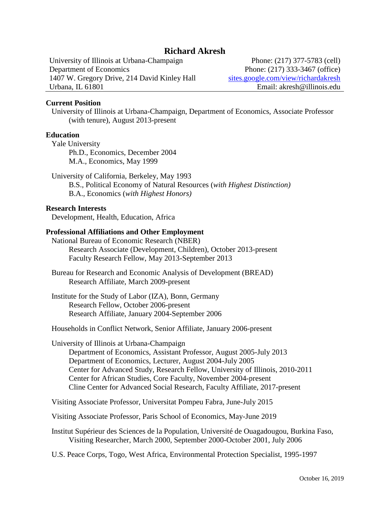# **Richard Akresh**

University of Illinois at Urbana-Champaign Phone: (217) 377-5783 (cell) Department of Economics Phone: (217) 333-3467 (office) 1407 W. Gregory Drive, 214 David Kinley Hall [sites.google.com/view/richardakresh](https://sites.google.com/view/richardakresh/home) Urbana, IL 61801 Email: akresh@illinois.edu

### **Current Position**

University of Illinois at Urbana-Champaign, Department of Economics, Associate Professor (with tenure), August 2013-present

#### **Education**

Yale University Ph.D., Economics, December 2004 M.A., Economics, May 1999

University of California, Berkeley, May 1993 B.S., Political Economy of Natural Resources (*with Highest Distinction)* B.A., Economics (*with Highest Honors)*

## **Research Interests**

Development, Health, Education, Africa

### **Professional Affiliations and Other Employment**

National Bureau of Economic Research (NBER) Research Associate (Development, Children), October 2013-present Faculty Research Fellow, May 2013-September 2013

Bureau for Research and Economic Analysis of Development (BREAD) Research Affiliate, March 2009-present

Institute for the Study of Labor (IZA), Bonn, Germany Research Fellow, October 2006-present Research Affiliate, January 2004-September 2006

Households in Conflict Network, Senior Affiliate, January 2006-present

University of Illinois at Urbana-Champaign Department of Economics, Assistant Professor, August 2005-July 2013 Department of Economics, Lecturer, August 2004-July 2005 Center for Advanced Study, Research Fellow, University of Illinois, 2010-2011 Center for African Studies, Core Faculty, November 2004-present Cline Center for Advanced Social Research, Faculty Affiliate, 2017-present

Visiting Associate Professor, Universitat Pompeu Fabra, June-July 2015

Visiting Associate Professor, Paris School of Economics, May-June 2019

Institut Supérieur des Sciences de la Population, Université de Ouagadougou, Burkina Faso, Visiting Researcher, March 2000, September 2000-October 2001, July 2006

U.S. Peace Corps, Togo, West Africa, Environmental Protection Specialist, 1995-1997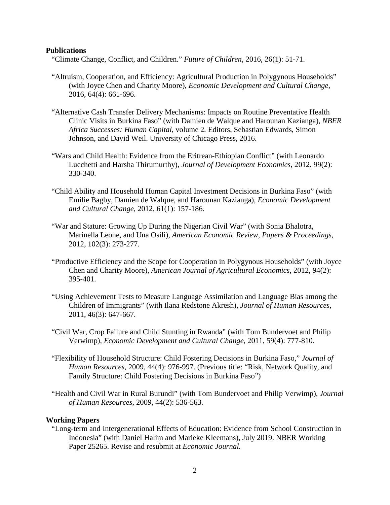#### **Publications**

"Climate Change, Conflict, and Children." *Future of Children*, 2016, 26(1): 51-71.

- "Altruism, Cooperation, and Efficiency: Agricultural Production in Polygynous Households" (with Joyce Chen and Charity Moore), *Economic Development and Cultural Change*, 2016, 64(4): 661-696.
- "Alternative Cash Transfer Delivery Mechanisms: Impacts on Routine Preventative Health Clinic Visits in Burkina Faso" (with Damien de Walque and Harounan Kazianga), *NBER Africa Successes: Human Capital*, volume 2*.* Editors, Sebastian Edwards, Simon Johnson, and David Weil. University of Chicago Press, 2016.
- "Wars and Child Health: Evidence from the Eritrean-Ethiopian Conflict" (with Leonardo Lucchetti and Harsha Thirumurthy), *Journal of Development Economics*, 2012, 99(2): 330-340.
- "Child Ability and Household Human Capital Investment Decisions in Burkina Faso" (with Emilie Bagby, Damien de Walque, and Harounan Kazianga), *Economic Development and Cultural Change*, 2012, 61(1): 157-186.
- "War and Stature: Growing Up During the Nigerian Civil War" (with Sonia Bhalotra, Marinella Leone, and Una Osili), *American Economic Review, Papers & Proceedings*, 2012, 102(3): 273-277.
- "Productive Efficiency and the Scope for Cooperation in Polygynous Households" (with Joyce Chen and Charity Moore), *American Journal of Agricultural Economics*, 2012, 94(2): 395-401.
- "Using Achievement Tests to Measure Language Assimilation and Language Bias among the Children of Immigrants" (with Ilana Redstone Akresh), *Journal of Human Resources*, 2011, 46(3): 647-667.
- "Civil War, Crop Failure and Child Stunting in Rwanda" (with Tom Bundervoet and Philip Verwimp), *Economic Development and Cultural Change*, 2011, 59(4): 777-810.
- "Flexibility of Household Structure: Child Fostering Decisions in Burkina Faso," *Journal of Human Resources*, 2009, 44(4): 976-997. (Previous title: "Risk, Network Quality, and Family Structure: Child Fostering Decisions in Burkina Faso")
- "Health and Civil War in Rural Burundi" (with Tom Bundervoet and Philip Verwimp), *Journal of Human Resources*, 2009, 44(2): 536-563.

#### **Working Papers**

"Long-term and Intergenerational Effects of Education: Evidence from School Construction in Indonesia" (with Daniel Halim and Marieke Kleemans), July 2019. NBER Working Paper 25265. Revise and resubmit at *Economic Journal.*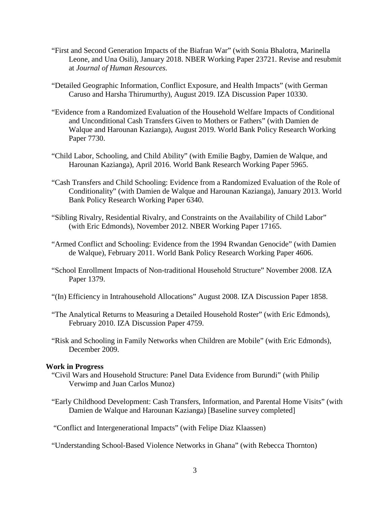- "First and Second Generation Impacts of the Biafran War" (with Sonia Bhalotra, Marinella Leone, and Una Osili), January 2018. NBER Working Paper 23721. Revise and resubmit at *Journal of Human Resources.*
- "Detailed Geographic Information, Conflict Exposure, and Health Impacts" (with German Caruso and Harsha Thirumurthy), August 2019. IZA Discussion Paper 10330.
- "Evidence from a Randomized Evaluation of the Household Welfare Impacts of Conditional and Unconditional Cash Transfers Given to Mothers or Fathers" (with Damien de Walque and Harounan Kazianga), August 2019. World Bank Policy Research Working Paper 7730.
- "Child Labor, Schooling, and Child Ability" (with Emilie Bagby, Damien de Walque, and Harounan Kazianga), April 2016. World Bank Research Working Paper 5965.
- "Cash Transfers and Child Schooling: Evidence from a Randomized Evaluation of the Role of Conditionality" (with Damien de Walque and Harounan Kazianga), January 2013. World Bank Policy Research Working Paper 6340.
- "Sibling Rivalry, Residential Rivalry, and Constraints on the Availability of Child Labor" (with Eric Edmonds), November 2012. NBER Working Paper 17165.
- "Armed Conflict and Schooling: Evidence from the 1994 Rwandan Genocide" (with Damien de Walque), February 2011. World Bank Policy Research Working Paper 4606.
- "School Enrollment Impacts of Non-traditional Household Structure" November 2008. IZA Paper 1379.
- "(In) Efficiency in Intrahousehold Allocations" August 2008. IZA Discussion Paper 1858.
- "The Analytical Returns to Measuring a Detailed Household Roster" (with Eric Edmonds), February 2010. IZA Discussion Paper 4759.
- "Risk and Schooling in Family Networks when Children are Mobile" (with Eric Edmonds), December 2009.

## **Work in Progress**

- "Civil Wars and Household Structure: Panel Data Evidence from Burundi" (with Philip Verwimp and Juan Carlos Munoz)
- "Early Childhood Development: Cash Transfers, Information, and Parental Home Visits" (with Damien de Walque and Harounan Kazianga) [Baseline survey completed]

"Conflict and Intergenerational Impacts" (with Felipe Diaz Klaassen)

"Understanding School-Based Violence Networks in Ghana" (with Rebecca Thornton)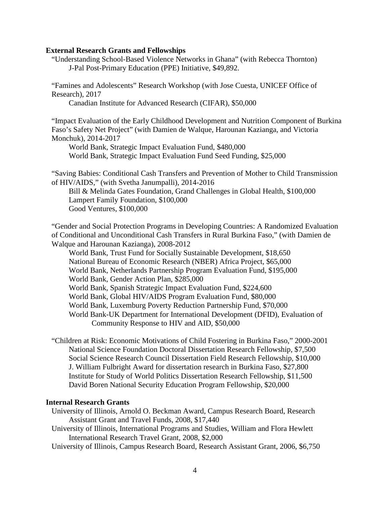#### **External Research Grants and Fellowships**

"Understanding School-Based Violence Networks in Ghana" (with Rebecca Thornton) J-Pal Post-Primary Education (PPE) Initiative, \$49,892.

"Famines and Adolescents" Research Workshop (with Jose Cuesta, UNICEF Office of Research), 2017

Canadian Institute for Advanced Research (CIFAR), \$50,000

"Impact Evaluation of the Early Childhood Development and Nutrition Component of Burkina Faso's Safety Net Project" (with Damien de Walque, Harounan Kazianga, and Victoria Monchuk), 2014-2017

World Bank, Strategic Impact Evaluation Fund, \$480,000 World Bank, Strategic Impact Evaluation Fund Seed Funding, \$25,000

"Saving Babies: Conditional Cash Transfers and Prevention of Mother to Child Transmission of HIV/AIDS," (with Svetha Janumpalli), 2014-2016

Bill & Melinda Gates Foundation, Grand Challenges in Global Health, \$100,000 Lampert Family Foundation, \$100,000 Good Ventures, \$100,000

"Gender and Social Protection Programs in Developing Countries: A Randomized Evaluation of Conditional and Unconditional Cash Transfers in Rural Burkina Faso," (with Damien de Walque and Harounan Kazianga), 2008-2012

World Bank, Trust Fund for Socially Sustainable Development, \$18,650 National Bureau of Economic Research (NBER) Africa Project, \$65,000 World Bank, Netherlands Partnership Program Evaluation Fund, \$195,000 World Bank, Gender Action Plan, \$285,000 World Bank, Spanish Strategic Impact Evaluation Fund, \$224,600 World Bank, Global HIV/AIDS Program Evaluation Fund, \$80,000 World Bank, Luxemburg Poverty Reduction Partnership Fund, \$70,000 World Bank-UK Department for International Development (DFID), Evaluation of Community Response to HIV and AID, \$50,000

"Children at Risk: Economic Motivations of Child Fostering in Burkina Faso," 2000-2001 National Science Foundation Doctoral Dissertation Research Fellowship, \$7,500 Social Science Research Council Dissertation Field Research Fellowship, \$10,000 J. William Fulbright Award for dissertation research in Burkina Faso, \$27,800 Institute for Study of World Politics Dissertation Research Fellowship, \$11,500 David Boren National Security Education Program Fellowship, \$20,000

#### **Internal Research Grants**

University of Illinois, Arnold O. Beckman Award, Campus Research Board, Research Assistant Grant and Travel Funds, 2008, \$17,440

- University of Illinois, International Programs and Studies, William and Flora Hewlett International Research Travel Grant, 2008, \$2,000
- University of Illinois, Campus Research Board, Research Assistant Grant, 2006, \$6,750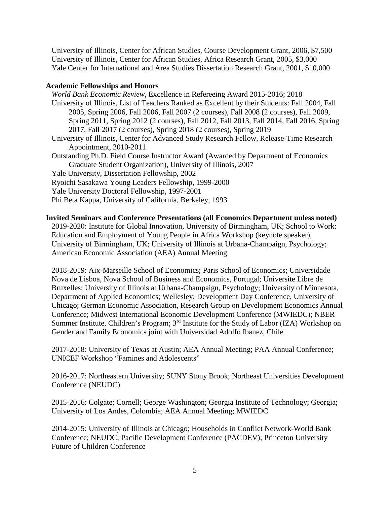University of Illinois, Center for African Studies, Course Development Grant, 2006, \$7,500 University of Illinois, Center for African Studies, Africa Research Grant, 2005, \$3,000 Yale Center for International and Area Studies Dissertation Research Grant, 2001, \$10,000

## **Academic Fellowships and Honors**

*World Bank Economic Review*, Excellence in Refereeing Award 2015-2016; 2018 University of Illinois, List of Teachers Ranked as Excellent by their Students: Fall 2004, Fall 2005, Spring 2006, Fall 2006, Fall 2007 (2 courses), Fall 2008 (2 courses), Fall 2009, Spring 2011, Spring 2012 (2 courses), Fall 2012, Fall 2013, Fall 2014, Fall 2016, Spring 2017, Fall 2017 (2 courses), Spring 2018 (2 courses), Spring 2019 University of Illinois, Center for Advanced Study Research Fellow, Release-Time Research Appointment, 2010-2011 Outstanding Ph.D. Field Course Instructor Award (Awarded by Department of Economics Graduate Student Organization), University of Illinois, 2007 Yale University, Dissertation Fellowship, 2002 Ryoichi Sasakawa Young Leaders Fellowship, 1999-2000 Yale University Doctoral Fellowship, 1997-2001 Phi Beta Kappa, University of California, Berkeley, 1993

# **Invited Seminars and Conference Presentations (all Economics Department unless noted)**

2019-2020: Institute for Global Innovation, University of Birmingham, UK; School to Work: Education and Employment of Young People in Africa Workshop (keynote speaker), University of Birmingham, UK; University of Illinois at Urbana-Champaign, Psychology; American Economic Association (AEA) Annual Meeting

2018-2019: Aix-Marseille School of Economics; Paris School of Economics; Universidade Nova de Lisboa, Nova School of Business and Economics, Portugal; Universite Libre de Bruxelles; University of Illinois at Urbana-Champaign, Psychology; University of Minnesota, Department of Applied Economics; Wellesley; Development Day Conference, University of Chicago; German Economic Association, Research Group on Development Economics Annual Conference; Midwest International Economic Development Conference (MWIEDC); NBER Summer Institute, Children's Program; 3rd Institute for the Study of Labor (IZA) Workshop on Gender and Family Economics joint with Universidad Adolfo Ibanez, Chile

2017-2018: University of Texas at Austin; AEA Annual Meeting; PAA Annual Conference; UNICEF Workshop "Famines and Adolescents"

2016-2017: Northeastern University; SUNY Stony Brook; Northeast Universities Development Conference (NEUDC)

2015-2016: Colgate; Cornell; George Washington; Georgia Institute of Technology; Georgia; University of Los Andes, Colombia; AEA Annual Meeting; MWIEDC

2014-2015: University of Illinois at Chicago; Households in Conflict Network-World Bank Conference; NEUDC; Pacific Development Conference (PACDEV); Princeton University Future of Children Conference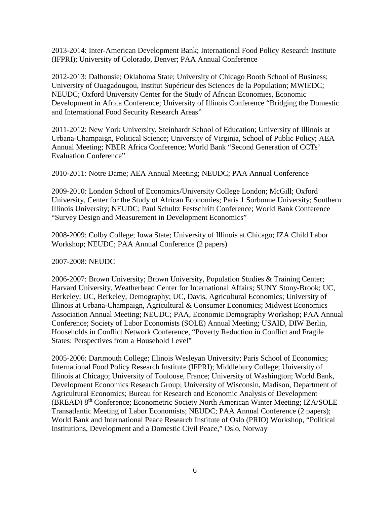2013-2014: Inter-American Development Bank; International Food Policy Research Institute (IFPRI); University of Colorado, Denver; PAA Annual Conference

2012-2013: Dalhousie; Oklahoma State; University of Chicago Booth School of Business; University of Ouagadougou, Institut Supérieur des Sciences de la Population; MWIEDC; NEUDC; Oxford University Center for the Study of African Economies, Economic Development in Africa Conference; University of Illinois Conference "Bridging the Domestic and International Food Security Research Areas"

2011-2012: New York University, Steinhardt School of Education; University of Illinois at Urbana-Champaign, Political Science; University of Virginia, School of Public Policy; AEA Annual Meeting; NBER Africa Conference; World Bank "Second Generation of CCTs' Evaluation Conference"

2010-2011: Notre Dame; AEA Annual Meeting; NEUDC; PAA Annual Conference

2009-2010: London School of Economics/University College London; McGill; Oxford University, Center for the Study of African Economies; Paris 1 Sorbonne University; Southern Illinois University; NEUDC; Paul Schultz Festschrift Conference; World Bank Conference "Survey Design and Measurement in Development Economics"

2008-2009: Colby College; Iowa State; University of Illinois at Chicago; IZA Child Labor Workshop; NEUDC; PAA Annual Conference (2 papers)

2007-2008: NEUDC

2006-2007: Brown University; Brown University, Population Studies & Training Center; Harvard University, Weatherhead Center for International Affairs; SUNY Stony-Brook; UC, Berkeley; UC, Berkeley, Demography; UC, Davis, Agricultural Economics; University of Illinois at Urbana-Champaign, Agricultural & Consumer Economics; Midwest Economics Association Annual Meeting; NEUDC; PAA, Economic Demography Workshop; PAA Annual Conference; Society of Labor Economists (SOLE) Annual Meeting; USAID, DIW Berlin, Households in Conflict Network Conference, "Poverty Reduction in Conflict and Fragile States: Perspectives from a Household Level"

2005-2006: Dartmouth College; Illinois Wesleyan University; Paris School of Economics; International Food Policy Research Institute (IFPRI); Middlebury College; University of Illinois at Chicago; University of Toulouse, France; University of Washington; World Bank, Development Economics Research Group; University of Wisconsin, Madison, Department of Agricultural Economics; Bureau for Research and Economic Analysis of Development (BREAD) 8th Conference; Econometric Society North American Winter Meeting; IZA/SOLE Transatlantic Meeting of Labor Economists; NEUDC; PAA Annual Conference (2 papers); World Bank and International Peace Research Institute of Oslo (PRIO) Workshop, "Political Institutions, Development and a Domestic Civil Peace," Oslo, Norway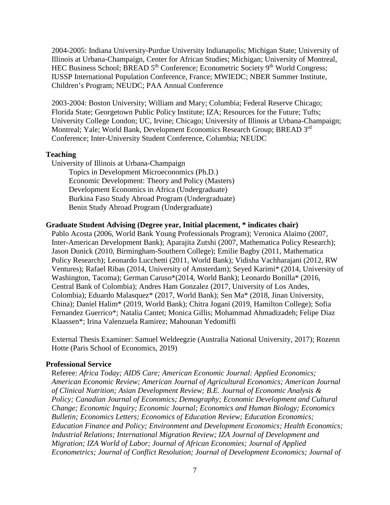2004-2005: Indiana University-Purdue University Indianapolis; Michigan State; University of Illinois at Urbana-Champaign, Center for African Studies; Michigan; University of Montreal, HEC Business School; BREAD 5<sup>th</sup> Conference; Econometric Society 9<sup>th</sup> World Congress; IUSSP International Population Conference, France; MWIEDC; NBER Summer Institute, Children's Program; NEUDC; PAA Annual Conference

2003-2004: Boston University; William and Mary; Columbia; Federal Reserve Chicago; Florida State; Georgetown Public Policy Institute; IZA; Resources for the Future; Tufts; University College London; UC, Irvine; Chicago; University of Illinois at Urbana-Champaign; Montreal; Yale; World Bank, Development Economics Research Group; BREAD 3rd Conference; Inter-University Student Conference, Columbia; NEUDC

#### **Teaching**

University of Illinois at Urbana-Champaign Topics in Development Microeconomics (Ph.D.) Economic Development: Theory and Policy (Masters) Development Economics in Africa (Undergraduate) Burkina Faso Study Abroad Program (Undergraduate) Benin Study Abroad Program (Undergraduate)

### **Graduate Student Advising (Degree year, Initial placement, \* indicates chair)**

Pablo Acosta (2006, World Bank Young Professionals Program); Veronica Alaimo (2007, Inter-American Development Bank); Aparajita Zutshi (2007, Mathematica Policy Research); Jason Dunick (2010, Birmingham-Southern College); Emilie Bagby (2011, Mathematica Policy Research); Leonardo Lucchetti (2011, World Bank); Vidisha Vachharajani (2012, RW Ventures); Rafael Ribas (2014, University of Amsterdam); Seyed Karimi\* (2014, University of Washington, Tacoma); German Caruso\*(2014, World Bank); Leonardo Bonilla\* (2016, Central Bank of Colombia); Andres Ham Gonzalez (2017, University of Los Andes, Colombia); Eduardo Malasquez\* (2017, World Bank); Sen Ma\* (2018, Jinan University, China); Daniel Halim\* (2019, World Bank); Chitra Jogani (2019, Hamilton College); Sofia Fernandez Guerrico\*; Natalia Cantet; Monica Gillis; Mohammad Ahmadizadeh; Felipe Diaz Klaassen\*; Irina Valenzuela Ramirez; Mahounan Yedomiffi

External Thesis Examiner: Samuel Weldeegzie (Australia National University, 2017); Rozenn Hotte (Paris School of Economics, 2019)

#### **Professional Service**

Referee: *Africa Today; AIDS Care; American Economic Journal: Applied Economics; American Economic Review; American Journal of Agricultural Economics; American Journal of Clinical Nutrition; Asian Development Review; B.E. Journal of Economic Analysis & Policy; Canadian Journal of Economics; Demography; Economic Development and Cultural Change; Economic Inquiry; Economic Journal; Economics and Human Biology; Economics Bulletin; Economics Letters; Economics of Education Review; Education Economics; Education Finance and Policy; Environment and Development Economics; Health Economics; Industrial Relations; International Migration Review; IZA Journal of Development and Migration; IZA World of Labor; Journal of African Economies; Journal of Applied Econometrics; Journal of Conflict Resolution; Journal of Development Economics; Journal of*